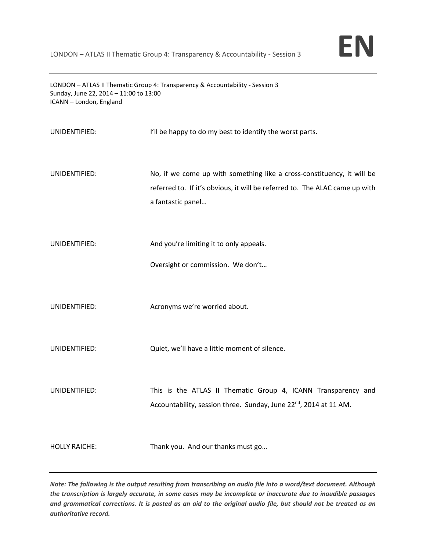

LONDON – ATLAS II Thematic Group 4: Transparency & Accountability ‐ Session 3 Sunday, June 22, 2014 – 11:00 to 13:00 ICANN – London, England

| UNIDENTIFIED: | I'll be happy to do my best to identify the worst parts.                                                                                                                   |
|---------------|----------------------------------------------------------------------------------------------------------------------------------------------------------------------------|
| UNIDENTIFIED: | No, if we come up with something like a cross-constituency, it will be<br>referred to. If it's obvious, it will be referred to. The ALAC came up with<br>a fantastic panel |
| UNIDENTIFIED: | And you're limiting it to only appeals.<br>Oversight or commission. We don't                                                                                               |

UNIDENTIFIED: Acronyms we're worried about.

UNIDENTIFIED: Quiet, we'll have a little moment of silence.

UNIDENTIFIED: This is the ATLAS II Thematic Group 4, ICANN Transparency and Accountability, session three. Sunday, June 22<sup>nd</sup>, 2014 at 11 AM.

HOLLY RAICHE: Thank you. And our thanks must go…

Note: The following is the output resulting from transcribing an audio file into a word/text document. Although the transcription is largely accurate, in some cases may be incomplete or inaccurate due to inaudible passages and grammatical corrections. It is posted as an aid to the original audio file, but should not be treated as an *authoritative record.*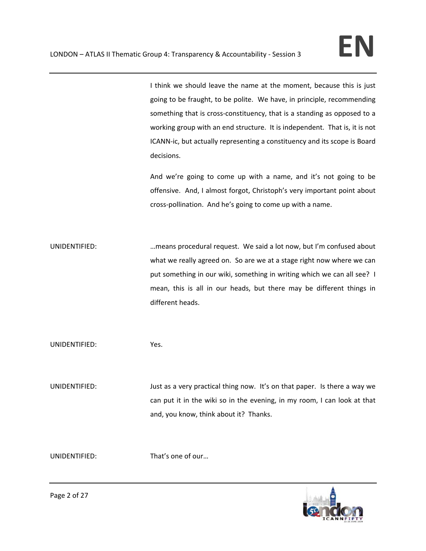I think we should leave the name at the moment, because this is just going to be fraught, to be polite. We have, in principle, recommending something that is cross-constituency, that is a standing as opposed to a working group with an end structure. It is independent. That is, it is not ICANN‐ic, but actually representing a constituency and its scope is Board decisions.

And we're going to come up with a name, and it's not going to be offensive. And, I almost forgot, Christoph's very important point about cross‐pollination. And he's going to come up with a name.

UNIDENTIFIED: …means procedural request. We said a lot now, but I'm confused about what we really agreed on. So are we at a stage right now where we can put something in our wiki, something in writing which we can all see? I mean, this is all in our heads, but there may be different things in different heads.

UNIDENTIFIED: Yes.

UNIDENTIFIED: Just as a very practical thing now. It's on that paper. Is there a way we can put it in the wiki so in the evening, in my room, I can look at that and, you know, think about it? Thanks.

UNIDENTIFIED: That's one of our…

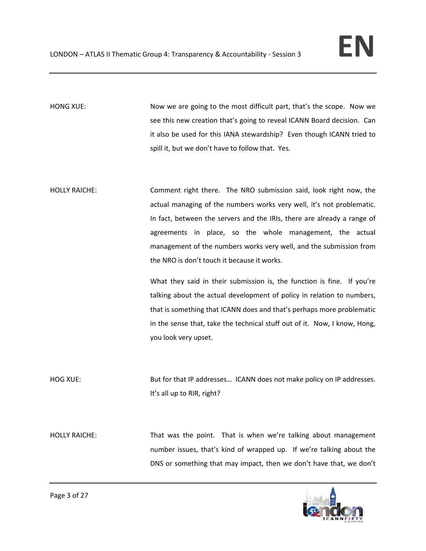HONG XUE: Now we are going to the most difficult part, that's the scope. Now we see this new creation that's going to reveal ICANN Board decision. Can it also be used for this IANA stewardship? Even though ICANN tried to spill it, but we don't have to follow that. Yes.

HOLLY RAICHE: Comment right there. The NRO submission said, look right now, the actual managing of the numbers works very well, it's not problematic. In fact, between the servers and the IRIs, there are already a range of agreements in place, so the whole management, the actual management of the numbers works very well, and the submission from the NRO is don't touch it because it works.

> What they said in their submission is, the function is fine. If you're talking about the actual development of policy in relation to numbers, that is something that ICANN does and that's perhaps more problematic in the sense that, take the technical stuff out of it. Now, I know, Hong, you look very upset.

HOG XUE: But for that IP addresses... ICANN does not make policy on IP addresses. It's all up to RIR, right?

HOLLY RAICHE: That was the point. That is when we're talking about management number issues, that's kind of wrapped up. If we're talking about the DNS or something that may impact, then we don't have that, we don't

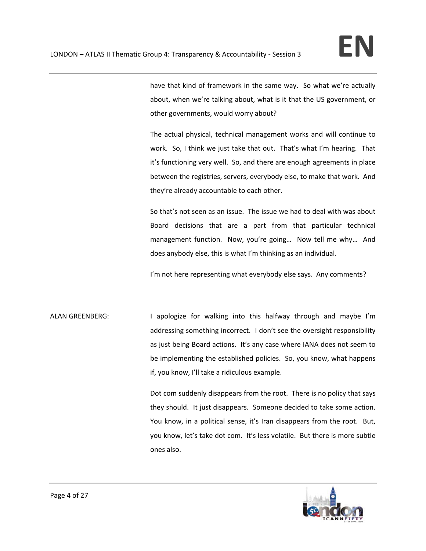have that kind of framework in the same way. So what we're actually about, when we're talking about, what is it that the US government, or other governments, would worry about?

The actual physical, technical management works and will continue to work. So, I think we just take that out. That's what I'm hearing. That it's functioning very well. So, and there are enough agreements in place between the registries, servers, everybody else, to make that work. And they're already accountable to each other.

So that's not seen as an issue. The issue we had to deal with was about Board decisions that are a part from that particular technical management function. Now, you're going... Now tell me why... And does anybody else, this is what I'm thinking as an individual.

I'm not here representing what everybody else says. Any comments?

ALAN GREENBERG: I apologize for walking into this halfway through and maybe I'm addressing something incorrect. I don't see the oversight responsibility as just being Board actions. It's any case where IANA does not seem to be implementing the established policies. So, you know, what happens if, you know, I'll take a ridiculous example.

> Dot com suddenly disappears from the root. There is no policy that says they should. It just disappears. Someone decided to take some action. You know, in a political sense, it's Iran disappears from the root. But, you know, let's take dot com. It's less volatile. But there is more subtle ones also.

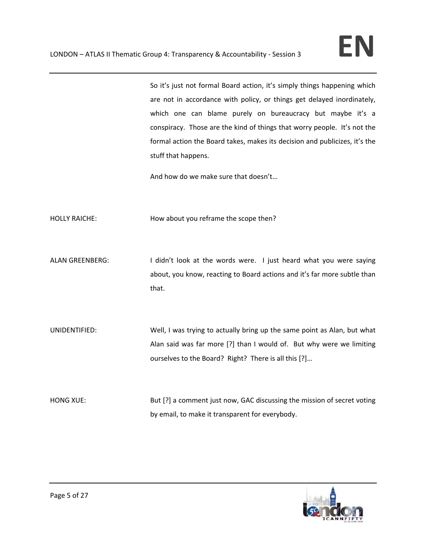So it's just not formal Board action, it's simply things happening which are not in accordance with policy, or things get delayed inordinately, which one can blame purely on bureaucracy but maybe it's a conspiracy. Those are the kind of things that worry people. It's not the formal action the Board takes, makes its decision and publicizes, it's the stuff that happens.

And how do we make sure that doesn't…

HOLLY RAICHE: How about you reframe the scope then?

ALAN GREENBERG: I didn't look at the words were. I just heard what you were saying about, you know, reacting to Board actions and it's far more subtle than that.

UNIDENTIFIED: Well, I was trying to actually bring up the same point as Alan, but what Alan said was far more [?] than I would of. But why were we limiting ourselves to the Board? Right? There is all this [?]…

HONG XUE: But [?] a comment just now, GAC discussing the mission of secret voting by email, to make it transparent for everybody.

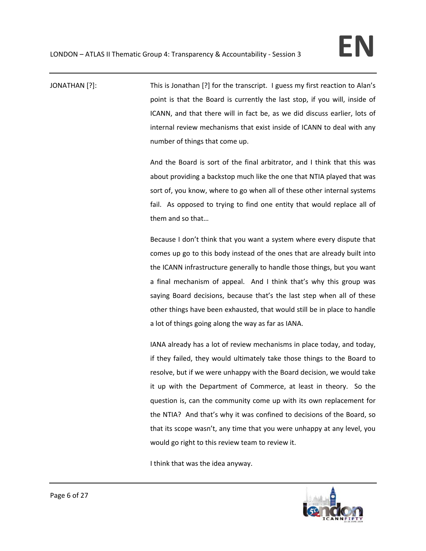JONATHAN [?]: This is Jonathan [?] for the transcript. I guess my first reaction to Alan's point is that the Board is currently the last stop, if you will, inside of ICANN, and that there will in fact be, as we did discuss earlier, lots of internal review mechanisms that exist inside of ICANN to deal with any number of things that come up.

> And the Board is sort of the final arbitrator, and I think that this was about providing a backstop much like the one that NTIA played that was sort of, you know, where to go when all of these other internal systems fail. As opposed to trying to find one entity that would replace all of them and so that…

> Because I don't think that you want a system where every dispute that comes up go to this body instead of the ones that are already built into the ICANN infrastructure generally to handle those things, but you want a final mechanism of appeal. And I think that's why this group was saying Board decisions, because that's the last step when all of these other things have been exhausted, that would still be in place to handle a lot of things going along the way as far as IANA.

> IANA already has a lot of review mechanisms in place today, and today, if they failed, they would ultimately take those things to the Board to resolve, but if we were unhappy with the Board decision, we would take it up with the Department of Commerce, at least in theory. So the question is, can the community come up with its own replacement for the NTIA? And that's why it was confined to decisions of the Board, so that its scope wasn't, any time that you were unhappy at any level, you would go right to this review team to review it.

I think that was the idea anyway.

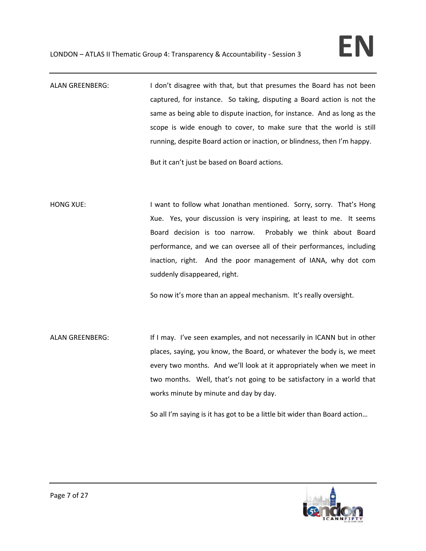ALAN GREENBERG: I don't disagree with that, but that presumes the Board has not been captured, for instance. So taking, disputing a Board action is not the same as being able to dispute inaction, for instance. And as long as the scope is wide enough to cover, to make sure that the world is still running, despite Board action or inaction, or blindness, then I'm happy.

But it can't just be based on Board actions.

HONG XUE: I want to follow what Jonathan mentioned. Sorry, sorry. That's Hong Xue. Yes, your discussion is very inspiring, at least to me. It seems Board decision is too narrow. Probably we think about Board performance, and we can oversee all of their performances, including inaction, right. And the poor management of IANA, why dot com suddenly disappeared, right.

So now it's more than an appeal mechanism. It's really oversight.

ALAN GREENBERG: If I may. I've seen examples, and not necessarily in ICANN but in other places, saying, you know, the Board, or whatever the body is, we meet every two months. And we'll look at it appropriately when we meet in two months. Well, that's not going to be satisfactory in a world that works minute by minute and day by day.

So all I'm saying is it has got to be a little bit wider than Board action…

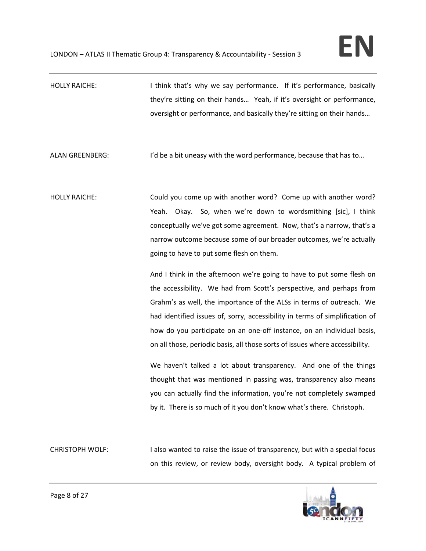| <b>HOLLY RAICHE:</b> | I think that's why we say performance. If it's performance, basically  |
|----------------------|------------------------------------------------------------------------|
|                      | they're sitting on their hands Yeah, if it's oversight or performance, |
|                      | oversight or performance, and basically they're sitting on their hands |

ALAN GREENBERG: I'd be a bit uneasy with the word performance, because that has to…

HOLLY RAICHE: Could you come up with another word? Come up with another word? Yeah. Okay. So, when we're down to wordsmithing [sic], I think conceptually we've got some agreement. Now, that's a narrow, that's a narrow outcome because some of our broader outcomes, we're actually going to have to put some flesh on them.

> And I think in the afternoon we're going to have to put some flesh on the accessibility. We had from Scott's perspective, and perhaps from Grahm's as well, the importance of the ALSs in terms of outreach. We had identified issues of, sorry, accessibility in terms of simplification of how do you participate on an one‐off instance, on an individual basis, on all those, periodic basis, all those sorts of issues where accessibility.

> We haven't talked a lot about transparency. And one of the things thought that was mentioned in passing was, transparency also means you can actually find the information, you're not completely swamped by it. There is so much of it you don't know what's there. Christoph.

CHRISTOPH WOLF: I also wanted to raise the issue of transparency, but with a special focus on this review, or review body, oversight body. A typical problem of

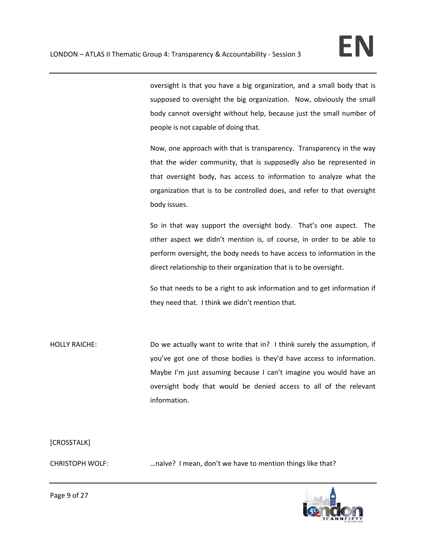oversight is that you have a big organization, and a small body that is supposed to oversight the big organization. Now, obviously the small body cannot oversight without help, because just the small number of people is not capable of doing that.

Now, one approach with that is transparency. Transparency in the way that the wider community, that is supposedly also be represented in that oversight body, has access to information to analyze what the organization that is to be controlled does, and refer to that oversight body issues.

So in that way support the oversight body. That's one aspect. The other aspect we didn't mention is, of course, in order to be able to perform oversight, the body needs to have access to information in the direct relationship to their organization that is to be oversight.

So that needs to be a right to ask information and to get information if they need that. I think we didn't mention that.

HOLLY RAICHE: Do we actually want to write that in? I think surely the assumption, if you've got one of those bodies is they'd have access to information. Maybe I'm just assuming because I can't imagine you would have an oversight body that would be denied access to all of the relevant information.

## [CROSSTALK]

CHRISTOPH WOLF: …naïve? I mean, don't we have to mention things like that?

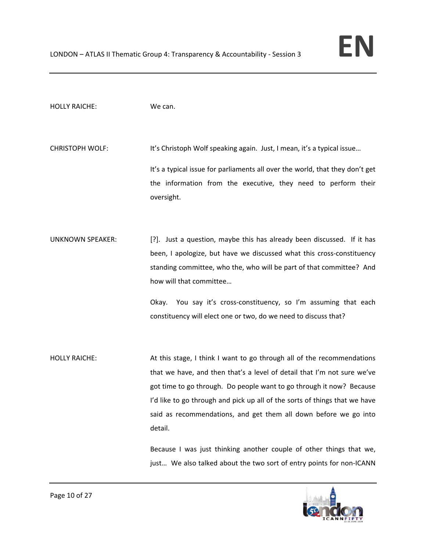| <b>HOLLY RAICHE:</b>    | We can.                                                                                                                                                                                                                                                                                                                                                                                                                                                       |
|-------------------------|---------------------------------------------------------------------------------------------------------------------------------------------------------------------------------------------------------------------------------------------------------------------------------------------------------------------------------------------------------------------------------------------------------------------------------------------------------------|
| <b>CHRISTOPH WOLF:</b>  | It's Christoph Wolf speaking again. Just, I mean, it's a typical issue<br>It's a typical issue for parliaments all over the world, that they don't get<br>the information from the executive, they need to perform their<br>oversight.                                                                                                                                                                                                                        |
| <b>UNKNOWN SPEAKER:</b> | [?]. Just a question, maybe this has already been discussed. If it has<br>been, I apologize, but have we discussed what this cross-constituency<br>standing committee, who the, who will be part of that committee? And<br>how will that committee<br>You say it's cross-constituency, so I'm assuming that each<br>Okay.<br>constituency will elect one or two, do we need to discuss that?                                                                  |
| <b>HOLLY RAICHE:</b>    | At this stage, I think I want to go through all of the recommendations<br>that we have, and then that's a level of detail that I'm not sure we've<br>got time to go through. Do people want to go through it now? Because<br>I'd like to go through and pick up all of the sorts of things that we have<br>said as recommendations, and get them all down before we go into<br>detail.<br>Desauce Luise inst thinking enother counter of other things that us |

Because I was just thinking another couple of other things that we, just... We also talked about the two sort of entry points for non-ICANN

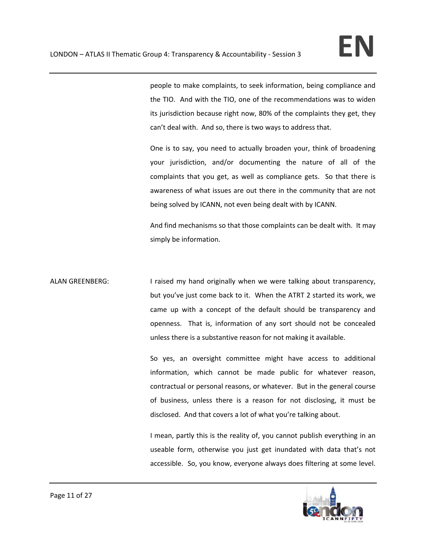people to make complaints, to seek information, being compliance and the TIO. And with the TIO, one of the recommendations was to widen its jurisdiction because right now, 80% of the complaints they get, they can't deal with. And so, there is two ways to address that.

One is to say, you need to actually broaden your, think of broadening your jurisdiction, and/or documenting the nature of all of the complaints that you get, as well as compliance gets. So that there is awareness of what issues are out there in the community that are not being solved by ICANN, not even being dealt with by ICANN.

And find mechanisms so that those complaints can be dealt with. It may simply be information.

ALAN GREENBERG: I raised my hand originally when we were talking about transparency, but you've just come back to it. When the ATRT 2 started its work, we came up with a concept of the default should be transparency and openness. That is, information of any sort should not be concealed unless there is a substantive reason for not making it available.

> So yes, an oversight committee might have access to additional information, which cannot be made public for whatever reason, contractual or personal reasons, or whatever. But in the general course of business, unless there is a reason for not disclosing, it must be disclosed. And that covers a lot of what you're talking about.

> I mean, partly this is the reality of, you cannot publish everything in an useable form, otherwise you just get inundated with data that's not accessible. So, you know, everyone always does filtering at some level.

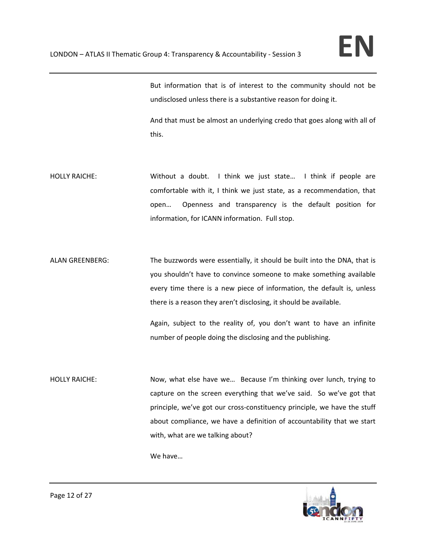But information that is of interest to the community should not be undisclosed unless there is a substantive reason for doing it.

And that must be almost an underlying credo that goes along with all of this.

- HOLLY RAICHE: Without a doubt. I think we just state... I think if people are comfortable with it, I think we just state, as a recommendation, that open… Openness and transparency is the default position for information, for ICANN information. Full stop.
- ALAN GREENBERG: The buzzwords were essentially, it should be built into the DNA, that is you shouldn't have to convince someone to make something available every time there is a new piece of information, the default is, unless there is a reason they aren't disclosing, it should be available.

Again, subject to the reality of, you don't want to have an infinite number of people doing the disclosing and the publishing.

HOLLY RAICHE: Now, what else have we... Because I'm thinking over lunch, trying to capture on the screen everything that we've said. So we've got that principle, we've got our cross‐constituency principle, we have the stuff about compliance, we have a definition of accountability that we start with, what are we talking about?

We have…

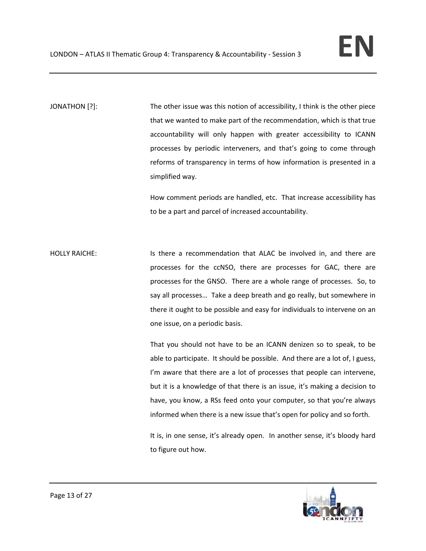JONATHON [?]: The other issue was this notion of accessibility, I think is the other piece that we wanted to make part of the recommendation, which is that true accountability will only happen with greater accessibility to ICANN processes by periodic interveners, and that's going to come through reforms of transparency in terms of how information is presented in a simplified way.

> How comment periods are handled, etc. That increase accessibility has to be a part and parcel of increased accountability.

HOLLY RAICHE: Is there a recommendation that ALAC be involved in, and there are processes for the ccNSO, there are processes for GAC, there are processes for the GNSO. There are a whole range of processes. So, to say all processes… Take a deep breath and go really, but somewhere in there it ought to be possible and easy for individuals to intervene on an one issue, on a periodic basis.

> That you should not have to be an ICANN denizen so to speak, to be able to participate. It should be possible. And there are a lot of, I guess, I'm aware that there are a lot of processes that people can intervene, but it is a knowledge of that there is an issue, it's making a decision to have, you know, a RSs feed onto your computer, so that you're always informed when there is a new issue that's open for policy and so forth.

> It is, in one sense, it's already open. In another sense, it's bloody hard to figure out how.

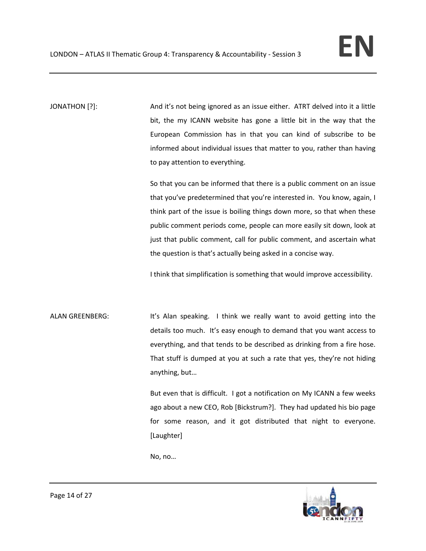JONATHON [?]: And it's not being ignored as an issue either. ATRT delved into it a little bit, the my ICANN website has gone a little bit in the way that the European Commission has in that you can kind of subscribe to be informed about individual issues that matter to you, rather than having to pay attention to everything.

> So that you can be informed that there is a public comment on an issue that you've predetermined that you're interested in. You know, again, I think part of the issue is boiling things down more, so that when these public comment periods come, people can more easily sit down, look at just that public comment, call for public comment, and ascertain what the question is that's actually being asked in a concise way.

I think that simplification is something that would improve accessibility.

ALAN GREENBERG: It's Alan speaking. I think we really want to avoid getting into the details too much. It's easy enough to demand that you want access to everything, and that tends to be described as drinking from a fire hose. That stuff is dumped at you at such a rate that yes, they're not hiding anything, but…

> But even that is difficult. I got a notification on My ICANN a few weeks ago about a new CEO, Rob [Bickstrum?]. They had updated his bio page for some reason, and it got distributed that night to everyone. [Laughter]

No, no…

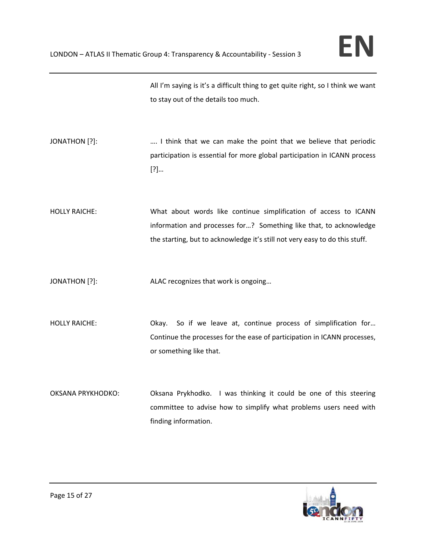All I'm saying is it's a difficult thing to get quite right, so I think we want to stay out of the details too much.

JONATHON [?]: …. I think that we can make the point that we believe that periodic participation is essential for more global participation in ICANN process [?]…

HOLLY RAICHE: What about words like continue simplification of access to ICANN information and processes for…? Something like that, to acknowledge the starting, but to acknowledge it's still not very easy to do this stuff.

JONATHON [?]: ALAC recognizes that work is ongoing…

HOLLY RAICHE: Okay. So if we leave at, continue process of simplification for... Continue the processes for the ease of participation in ICANN processes, or something like that.

OKSANA PRYKHODKO: Oksana Prykhodko. I was thinking it could be one of this steering committee to advise how to simplify what problems users need with finding information.

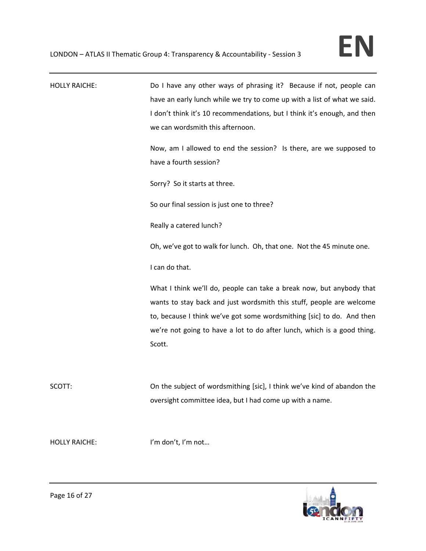| <b>HOLLY RAICHE:</b> | Do I have any other ways of phrasing it? Because if not, people can<br>have an early lunch while we try to come up with a list of what we said.<br>I don't think it's 10 recommendations, but I think it's enough, and then<br>we can wordsmith this afternoon.<br>Now, am I allowed to end the session? Is there, are we supposed to<br>have a fourth session?<br>Sorry? So it starts at three.<br>So our final session is just one to three?<br>Really a catered lunch?<br>Oh, we've got to walk for lunch. Oh, that one. Not the 45 minute one.<br>I can do that. |
|----------------------|----------------------------------------------------------------------------------------------------------------------------------------------------------------------------------------------------------------------------------------------------------------------------------------------------------------------------------------------------------------------------------------------------------------------------------------------------------------------------------------------------------------------------------------------------------------------|
|                      | What I think we'll do, people can take a break now, but anybody that<br>wants to stay back and just wordsmith this stuff, people are welcome<br>to, because I think we've got some wordsmithing [sic] to do. And then<br>we're not going to have a lot to do after lunch, which is a good thing.<br>Scott.                                                                                                                                                                                                                                                           |
| SCOTT:               | On the subject of wordsmithing [sic], I think we've kind of abandon the<br>oversight committee idea, but I had come up with a name.                                                                                                                                                                                                                                                                                                                                                                                                                                  |
| <b>HOLLY RAICHE:</b> | I'm don't, I'm not                                                                                                                                                                                                                                                                                                                                                                                                                                                                                                                                                   |

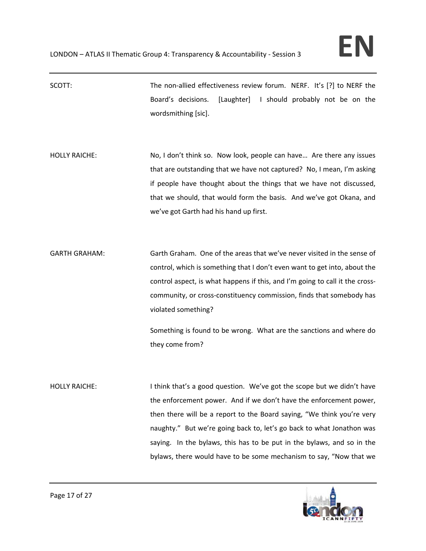SCOTT: The non-allied effectiveness review forum. NERF. It's [?] to NERF the Board's decisions. [Laughter] I should probably not be on the wordsmithing [sic].

HOLLY RAICHE: No, I don't think so. Now look, people can have... Are there any issues that are outstanding that we have not captured? No, I mean, I'm asking if people have thought about the things that we have not discussed, that we should, that would form the basis. And we've got Okana, and we've got Garth had his hand up first.

GARTH GRAHAM: Garth Graham. One of the areas that we've never visited in the sense of control, which is something that I don't even want to get into, about the control aspect, is what happens if this, and I'm going to call it the cross‐ community, or cross‐constituency commission, finds that somebody has violated something?

> Something is found to be wrong. What are the sanctions and where do they come from?

HOLLY RAICHE: I think that's a good question. We've got the scope but we didn't have the enforcement power. And if we don't have the enforcement power, then there will be a report to the Board saying, "We think you're very naughty." But we're going back to, let's go back to what Jonathon was saying. In the bylaws, this has to be put in the bylaws, and so in the bylaws, there would have to be some mechanism to say, "Now that we

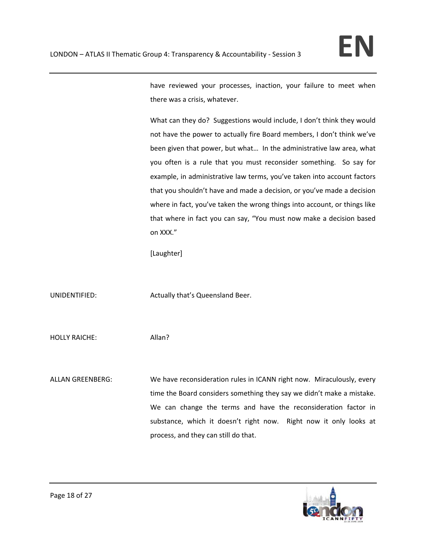have reviewed your processes, inaction, your failure to meet when there was a crisis, whatever.

What can they do? Suggestions would include, I don't think they would not have the power to actually fire Board members, I don't think we've been given that power, but what… In the administrative law area, what you often is a rule that you must reconsider something. So say for example, in administrative law terms, you've taken into account factors that you shouldn't have and made a decision, or you've made a decision where in fact, you've taken the wrong things into account, or things like that where in fact you can say, "You must now make a decision based on XXX."

[Laughter]

UNIDENTIFIED: Actually that's Queensland Beer.

HOLLY RAICHE: Allan?

ALLAN GREENBERG: We have reconsideration rules in ICANN right now. Miraculously, every time the Board considers something they say we didn't make a mistake. We can change the terms and have the reconsideration factor in substance, which it doesn't right now. Right now it only looks at process, and they can still do that.

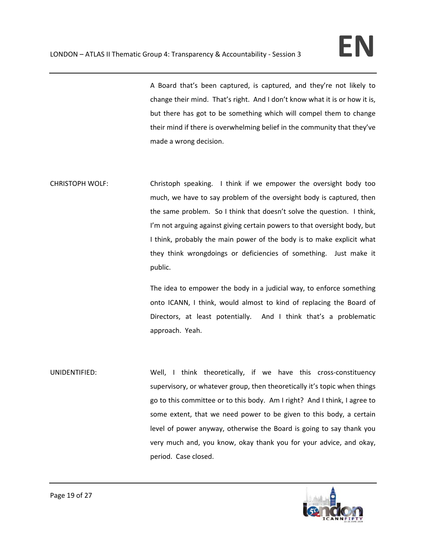A Board that's been captured, is captured, and they're not likely to change their mind. That's right. And I don't know what it is or how it is, but there has got to be something which will compel them to change their mind if there is overwhelming belief in the community that they've made a wrong decision.

CHRISTOPH WOLF: Christoph speaking. I think if we empower the oversight body too much, we have to say problem of the oversight body is captured, then the same problem. So I think that doesn't solve the question. I think, I'm not arguing against giving certain powers to that oversight body, but I think, probably the main power of the body is to make explicit what they think wrongdoings or deficiencies of something. Just make it public.

> The idea to empower the body in a judicial way, to enforce something onto ICANN, I think, would almost to kind of replacing the Board of Directors, at least potentially. And I think that's a problematic approach. Yeah.

UNIDENTIFIED: Well, I think theoretically, if we have this cross-constituency supervisory, or whatever group, then theoretically it's topic when things go to this committee or to this body. Am I right? And I think, I agree to some extent, that we need power to be given to this body, a certain level of power anyway, otherwise the Board is going to say thank you very much and, you know, okay thank you for your advice, and okay, period. Case closed.

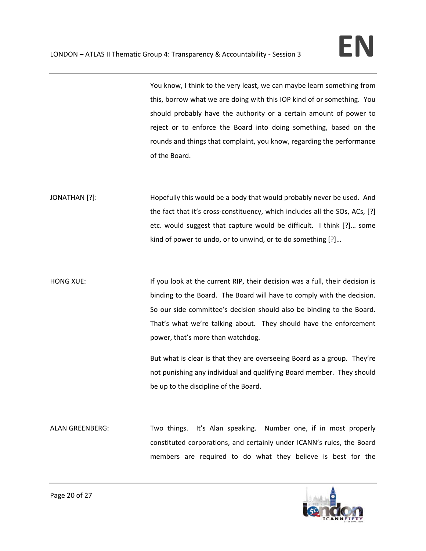You know, I think to the very least, we can maybe learn something from this, borrow what we are doing with this IOP kind of or something. You should probably have the authority or a certain amount of power to reject or to enforce the Board into doing something, based on the rounds and things that complaint, you know, regarding the performance of the Board.

JONATHAN [?]: Hopefully this would be a body that would probably never be used. And the fact that it's cross-constituency, which includes all the SOs, ACs, [?] etc. would suggest that capture would be difficult. I think [?]… some kind of power to undo, or to unwind, or to do something [?]…

HONG XUE: If you look at the current RIP, their decision was a full, their decision is binding to the Board. The Board will have to comply with the decision. So our side committee's decision should also be binding to the Board. That's what we're talking about. They should have the enforcement power, that's more than watchdog.

> But what is clear is that they are overseeing Board as a group. They're not punishing any individual and qualifying Board member. They should be up to the discipline of the Board.

ALAN GREENBERG: Two things. It's Alan speaking. Number one, if in most properly constituted corporations, and certainly under ICANN's rules, the Board members are required to do what they believe is best for the

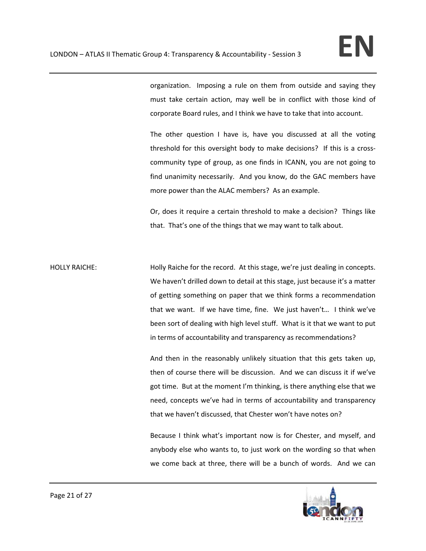organization. Imposing a rule on them from outside and saying they must take certain action, may well be in conflict with those kind of corporate Board rules, and I think we have to take that into account.

The other question I have is, have you discussed at all the voting threshold for this oversight body to make decisions? If this is a cross‐ community type of group, as one finds in ICANN, you are not going to find unanimity necessarily. And you know, do the GAC members have more power than the ALAC members? As an example.

Or, does it require a certain threshold to make a decision? Things like that. That's one of the things that we may want to talk about.

HOLLY RAICHE: Holly Raiche for the record. At this stage, we're just dealing in concepts. We haven't drilled down to detail at this stage, just because it's a matter of getting something on paper that we think forms a recommendation that we want. If we have time, fine. We just haven't… I think we've been sort of dealing with high level stuff. What is it that we want to put in terms of accountability and transparency as recommendations?

> And then in the reasonably unlikely situation that this gets taken up, then of course there will be discussion. And we can discuss it if we've got time. But at the moment I'm thinking, is there anything else that we need, concepts we've had in terms of accountability and transparency that we haven't discussed, that Chester won't have notes on?

> Because I think what's important now is for Chester, and myself, and anybody else who wants to, to just work on the wording so that when we come back at three, there will be a bunch of words. And we can

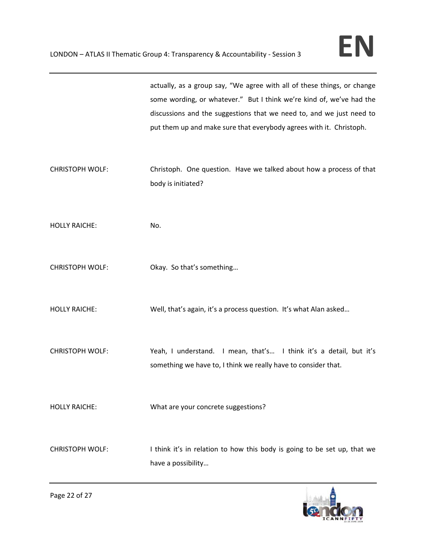actually, as a group say, "We agree with all of these things, or change some wording, or whatever." But I think we're kind of, we've had the discussions and the suggestions that we need to, and we just need to put them up and make sure that everybody agrees with it. Christoph.

CHRISTOPH WOLF: Christoph. One question. Have we talked about how a process of that body is initiated?

HOLLY RAICHE: No.

CHRISTOPH WOLF: Okay. So that's something…

HOLLY RAICHE: Well, that's again, it's a process question. It's what Alan asked…

CHRISTOPH WOLF: Yeah, I understand. I mean, that's... I think it's a detail, but it's something we have to, I think we really have to consider that.

HOLLY RAICHE: What are your concrete suggestions?

CHRISTOPH WOLF: I think it's in relation to how this body is going to be set up, that we have a possibility…

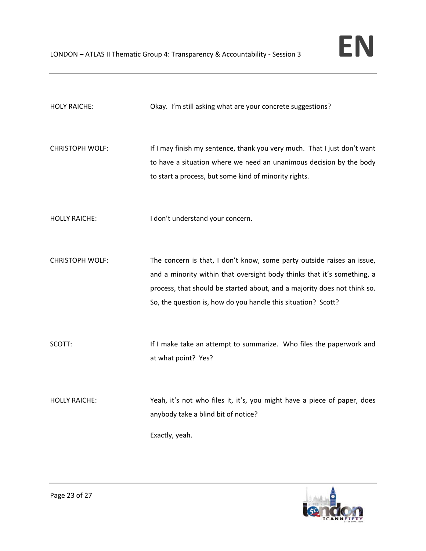| <b>HOLY RAICHE:</b>    | Okay. I'm still asking what are your concrete suggestions?                                                                                                                                                                                                                                     |
|------------------------|------------------------------------------------------------------------------------------------------------------------------------------------------------------------------------------------------------------------------------------------------------------------------------------------|
| <b>CHRISTOPH WOLF:</b> | If I may finish my sentence, thank you very much. That I just don't want<br>to have a situation where we need an unanimous decision by the body<br>to start a process, but some kind of minority rights.                                                                                       |
| <b>HOLLY RAICHE:</b>   | I don't understand your concern.                                                                                                                                                                                                                                                               |
| <b>CHRISTOPH WOLF:</b> | The concern is that, I don't know, some party outside raises an issue,<br>and a minority within that oversight body thinks that it's something, a<br>process, that should be started about, and a majority does not think so.<br>So, the question is, how do you handle this situation? Scott? |
| SCOTT:                 | If I make take an attempt to summarize. Who files the paperwork and<br>at what point? Yes?                                                                                                                                                                                                     |
| <b>HOLLY RAICHE:</b>   | Yeah, it's not who files it, it's, you might have a piece of paper, does<br>anybody take a blind bit of notice?<br>Exactly, yeah.                                                                                                                                                              |

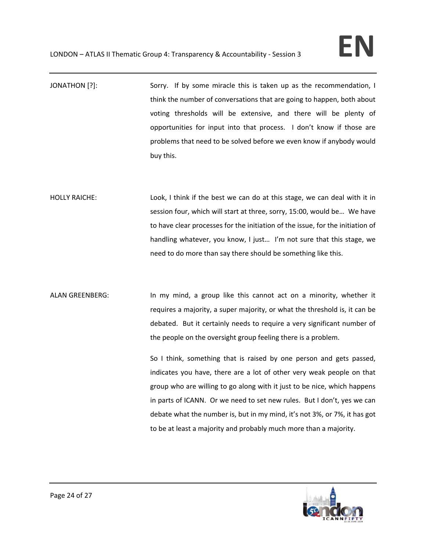- JONATHON [?]: Sorry. If by some miracle this is taken up as the recommendation, I think the number of conversations that are going to happen, both about voting thresholds will be extensive, and there will be plenty of opportunities for input into that process. I don't know if those are problems that need to be solved before we even know if anybody would buy this.
- HOLLY RAICHE: Look, I think if the best we can do at this stage, we can deal with it in session four, which will start at three, sorry, 15:00, would be… We have to have clear processes for the initiation of the issue, for the initiation of handling whatever, you know, I just… I'm not sure that this stage, we need to do more than say there should be something like this.
- ALAN GREENBERG: In my mind, a group like this cannot act on a minority, whether it requires a majority, a super majority, or what the threshold is, it can be debated. But it certainly needs to require a very significant number of the people on the oversight group feeling there is a problem.
	- So I think, something that is raised by one person and gets passed, indicates you have, there are a lot of other very weak people on that group who are willing to go along with it just to be nice, which happens in parts of ICANN. Or we need to set new rules. But I don't, yes we can debate what the number is, but in my mind, it's not 3%, or 7%, it has got to be at least a majority and probably much more than a majority.

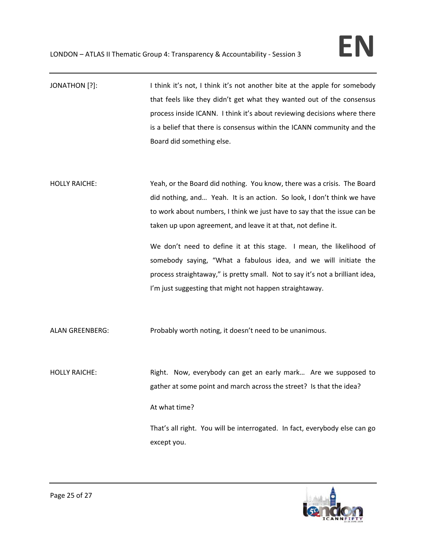| JONATHON [?]:          | I think it's not, I think it's not another bite at the apple for somebody<br>that feels like they didn't get what they wanted out of the consensus<br>process inside ICANN. I think it's about reviewing decisions where there<br>is a belief that there is consensus within the ICANN community and the<br>Board did something else.                                 |
|------------------------|-----------------------------------------------------------------------------------------------------------------------------------------------------------------------------------------------------------------------------------------------------------------------------------------------------------------------------------------------------------------------|
| <b>HOLLY RAICHE:</b>   | Yeah, or the Board did nothing. You know, there was a crisis. The Board<br>did nothing, and Yeah. It is an action. So look, I don't think we have<br>to work about numbers, I think we just have to say that the issue can be<br>taken up upon agreement, and leave it at that, not define it.<br>We don't need to define it at this stage. I mean, the likelihood of |
|                        | somebody saying, "What a fabulous idea, and we will initiate the<br>process straightaway," is pretty small. Not to say it's not a brilliant idea,<br>I'm just suggesting that might not happen straightaway.                                                                                                                                                          |
| <b>ALAN GREENBERG:</b> | Probably worth noting, it doesn't need to be unanimous.                                                                                                                                                                                                                                                                                                               |
| <b>HOLLY RAICHE:</b>   | Right. Now, everybody can get an early mark Are we supposed to<br>gather at some point and march across the street? Is that the idea?<br>At what time?                                                                                                                                                                                                                |
|                        | That's all right. You will be interrogated. In fact, everybody else can go<br>except you.                                                                                                                                                                                                                                                                             |

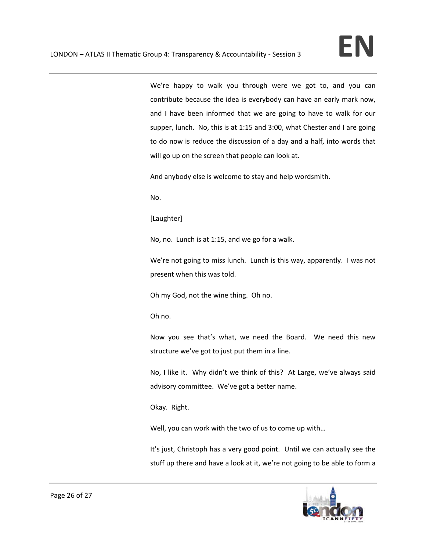We're happy to walk you through were we got to, and you can contribute because the idea is everybody can have an early mark now, and I have been informed that we are going to have to walk for our supper, lunch. No, this is at 1:15 and 3:00, what Chester and I are going to do now is reduce the discussion of a day and a half, into words that will go up on the screen that people can look at.

And anybody else is welcome to stay and help wordsmith.

No.

[Laughter]

No, no. Lunch is at 1:15, and we go for a walk.

We're not going to miss lunch. Lunch is this way, apparently. I was not present when this was told.

Oh my God, not the wine thing. Oh no.

Oh no.

Now you see that's what, we need the Board. We need this new structure we've got to just put them in a line.

No, I like it. Why didn't we think of this? At Large, we've always said advisory committee. We've got a better name.

Okay. Right.

Well, you can work with the two of us to come up with…

It's just, Christoph has a very good point. Until we can actually see the stuff up there and have a look at it, we're not going to be able to form a